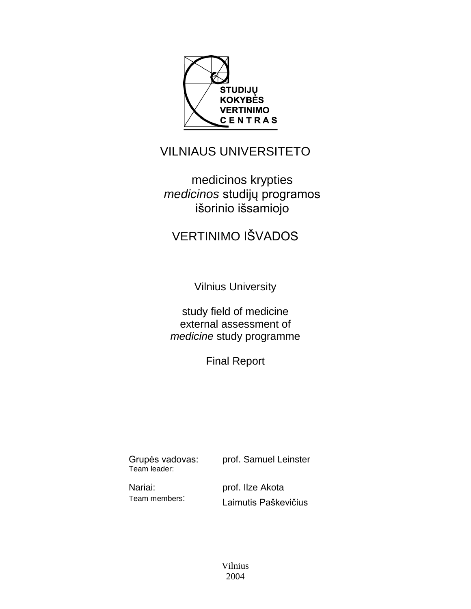

# VILNIAUS UNIVERSITETO

medicinos krypties *medicinos* studijų programos išorinio išsamiojo

# VERTINIMO IŠVADOS

Vilnius University

study field of medicine external assessment of *medicine* study programme

Final Report

Grupės vadovas: Team leader:

prof. Samuel Leinster

Nariai: Team members: prof. Ilze Akota Laimutis Paškevičius

Vilnius 2004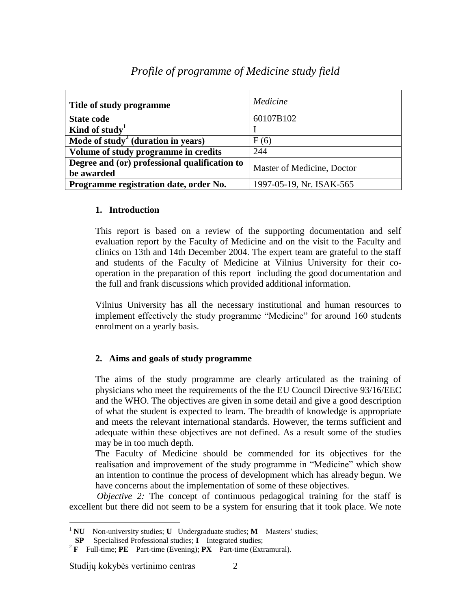| Title of study programme                                    | Medicine                   |  |
|-------------------------------------------------------------|----------------------------|--|
| <b>State code</b>                                           | 60107B102                  |  |
| Kind of study                                               |                            |  |
| Mode of study <sup>2</sup> (duration in years)              | F(6)                       |  |
| Volume of study programme in credits                        | 244                        |  |
| Degree and (or) professional qualification to<br>be awarded | Master of Medicine, Doctor |  |
| Programme registration date, order No.                      | 1997-05-19, Nr. ISAK-565   |  |

# *Profile of programme of Medicine study field*

#### **1. Introduction**

This report is based on a review of the supporting documentation and self evaluation report by the Faculty of Medicine and on the visit to the Faculty and clinics on 13th and 14th December 2004. The expert team are grateful to the staff and students of the Faculty of Medicine at Vilnius University for their cooperation in the preparation of this report including the good documentation and the full and frank discussions which provided additional information.

Vilnius University has all the necessary institutional and human resources to implement effectively the study programme "Medicine" for around 160 students enrolment on a yearly basis.

## **2. Aims and goals of study programme**

The aims of the study programme are clearly articulated as the training of physicians who meet the requirements of the the EU Council Directive 93/16/EEC and the WHO. The objectives are given in some detail and give a good description of what the student is expected to learn. The breadth of knowledge is appropriate and meets the relevant international standards. However, the terms sufficient and adequate within these objectives are not defined. As a result some of the studies may be in too much depth.

The Faculty of Medicine should be commended for its objectives for the realisation and improvement of the study programme in "Medicine" which show an intention to continue the process of development which has already begun. We have concerns about the implementation of some of these objectives.

*Objective 2:* The concept of continuous pedagogical training for the staff is excellent but there did not seem to be a system for ensuring that it took place. We note

Studijų kokybės vertinimo centras 2

 $\overline{a}$ <sup>1</sup> **NU** – Non-university studies; **U** –Undergraduate studies; **M** – Masters' studies;

**SP** – Specialised Professional studies; **I** – Integrated studies;

 $2^2$ **F** – Full-time; **PE** – Part-time (Evening); **PX** – Part-time (Extramural).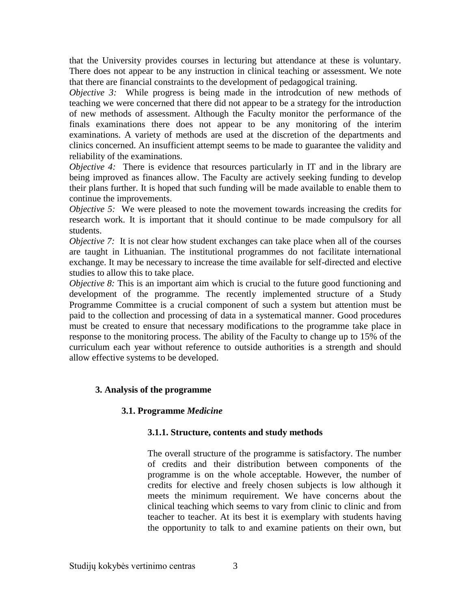that the University provides courses in lecturing but attendance at these is voluntary. There does not appear to be any instruction in clinical teaching or assessment. We note that there are financial constraints to the development of pedagogical training.

*Objective 3:* While progress is being made in the introdcution of new methods of teaching we were concerned that there did not appear to be a strategy for the introduction of new methods of assessment. Although the Faculty monitor the performance of the finals examinations there does not appear to be any monitoring of the interim examinations. A variety of methods are used at the discretion of the departments and clinics concerned. An insufficient attempt seems to be made to guarantee the validity and reliability of the examinations.

*Objective 4:* There is evidence that resources particularly in IT and in the library are being improved as finances allow. The Faculty are actively seeking funding to develop their plans further. It is hoped that such funding will be made available to enable them to continue the improvements.

*Objective 5:* We were pleased to note the movement towards increasing the credits for research work. It is important that it should continue to be made compulsory for all students.

*Objective 7:* It is not clear how student exchanges can take place when all of the courses are taught in Lithuanian. The institutional programmes do not facilitate international exchange. It may be necessary to increase the time available for self-directed and elective studies to allow this to take place.

*Objective 8:* This is an important aim which is crucial to the future good functioning and development of the programme. The recently implemented structure of a Study Programme Committee is a crucial component of such a system but attention must be paid to the collection and processing of data in a systematical manner. Good procedures must be created to ensure that necessary modifications to the programme take place in response to the monitoring process. The ability of the Faculty to change up to 15% of the curriculum each year without reference to outside authorities is a strength and should allow effective systems to be developed.

#### **3. Analysis of the programme**

#### **3.1. Programme** *Medicine*

#### **3.1.1. Structure, contents and study methods**

The overall structure of the programme is satisfactory. The number of credits and their distribution between components of the programme is on the whole acceptable. However, the number of credits for elective and freely chosen subjects is low although it meets the minimum requirement. We have concerns about the clinical teaching which seems to vary from clinic to clinic and from teacher to teacher. At its best it is exemplary with students having the opportunity to talk to and examine patients on their own, but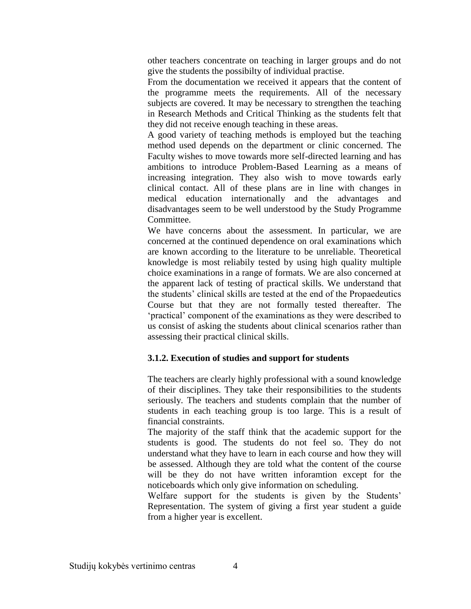other teachers concentrate on teaching in larger groups and do not give the students the possibilty of individual practise.

From the documentation we received it appears that the content of the programme meets the requirements. All of the necessary subjects are covered. It may be necessary to strengthen the teaching in Research Methods and Critical Thinking as the students felt that they did not receive enough teaching in these areas.

A good variety of teaching methods is employed but the teaching method used depends on the department or clinic concerned. The Faculty wishes to move towards more self-directed learning and has ambitions to introduce Problem-Based Learning as a means of increasing integration. They also wish to move towards early clinical contact. All of these plans are in line with changes in medical education internationally and the advantages and disadvantages seem to be well understood by the Study Programme Committee.

We have concerns about the assessment. In particular, we are concerned at the continued dependence on oral examinations which are known according to the literature to be unreliable. Theoretical knowledge is most reliabily tested by using high quality multiple choice examinations in a range of formats. We are also concerned at the apparent lack of testing of practical skills. We understand that the students' clinical skills are tested at the end of the Propaedeutics Course but that they are not formally tested thereafter. The 'practical' component of the examinations as they were described to us consist of asking the students about clinical scenarios rather than assessing their practical clinical skills.

#### **3.1.2. Execution of studies and support for students**

The teachers are clearly highly professional with a sound knowledge of their disciplines. They take their responsibilities to the students seriously. The teachers and students complain that the number of students in each teaching group is too large. This is a result of financial constraints.

The majority of the staff think that the academic support for the students is good. The students do not feel so. They do not understand what they have to learn in each course and how they will be assessed. Although they are told what the content of the course will be they do not have written inforamtion except for the noticeboards which only give information on scheduling.

Welfare support for the students is given by the Students' Representation. The system of giving a first year student a guide from a higher year is excellent.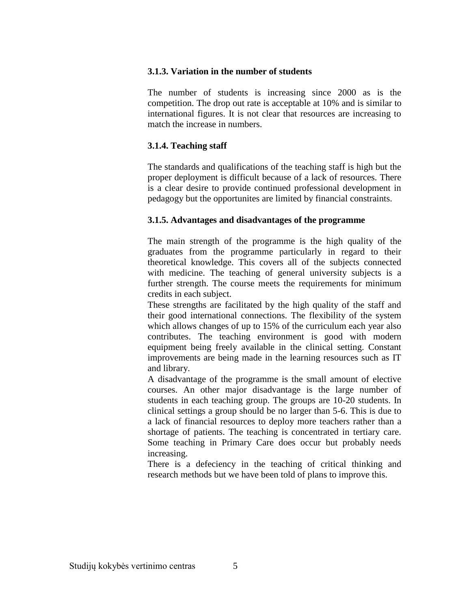#### **3.1.3. Variation in the number of students**

The number of students is increasing since 2000 as is the competition. The drop out rate is acceptable at 10% and is similar to international figures. It is not clear that resources are increasing to match the increase in numbers.

#### **3.1.4. Teaching staff**

The standards and qualifications of the teaching staff is high but the proper deployment is difficult because of a lack of resources. There is a clear desire to provide continued professional development in pedagogy but the opportunites are limited by financial constraints.

#### **3.1.5. Advantages and disadvantages of the programme**

The main strength of the programme is the high quality of the graduates from the programme particularly in regard to their theoretical knowledge. This covers all of the subjects connected with medicine. The teaching of general university subjects is a further strength. The course meets the requirements for minimum credits in each subject.

These strengths are facilitated by the high quality of the staff and their good international connections. The flexibility of the system which allows changes of up to 15% of the curriculum each year also contributes. The teaching environment is good with modern equipment being freely available in the clinical setting. Constant improvements are being made in the learning resources such as IT and library.

A disadvantage of the programme is the small amount of elective courses. An other major disadvantage is the large number of students in each teaching group. The groups are 10-20 students. In clinical settings a group should be no larger than 5-6. This is due to a lack of financial resources to deploy more teachers rather than a shortage of patients. The teaching is concentrated in tertiary care. Some teaching in Primary Care does occur but probably needs increasing.

There is a defeciency in the teaching of critical thinking and research methods but we have been told of plans to improve this.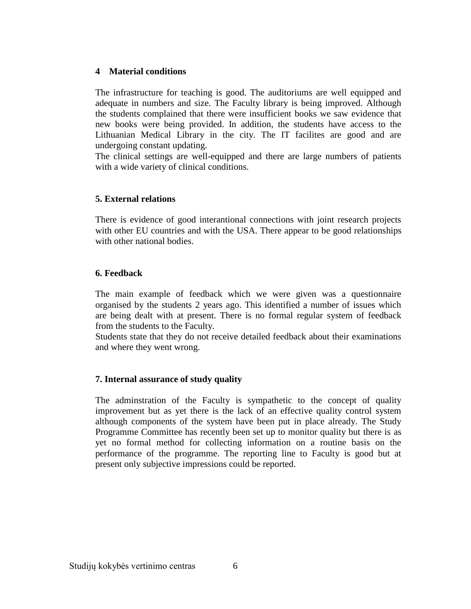#### **4 Material conditions**

The infrastructure for teaching is good. The auditoriums are well equipped and adequate in numbers and size. The Faculty library is being improved. Although the students complained that there were insufficient books we saw evidence that new books were being provided. In addition, the students have access to the Lithuanian Medical Library in the city. The IT facilites are good and are undergoing constant updating.

The clinical settings are well-equipped and there are large numbers of patients with a wide variety of clinical conditions.

#### **5. External relations**

There is evidence of good interantional connections with joint research projects with other EU countries and with the USA. There appear to be good relationships with other national bodies.

#### **6. Feedback**

The main example of feedback which we were given was a questionnaire organised by the students 2 years ago. This identified a number of issues which are being dealt with at present. There is no formal regular system of feedback from the students to the Faculty.

Students state that they do not receive detailed feedback about their examinations and where they went wrong.

#### **7. Internal assurance of study quality**

The adminstration of the Faculty is sympathetic to the concept of quality improvement but as yet there is the lack of an effective quality control system although components of the system have been put in place already. The Study Programme Committee has recently been set up to monitor quality but there is as yet no formal method for collecting information on a routine basis on the performance of the programme. The reporting line to Faculty is good but at present only subjective impressions could be reported.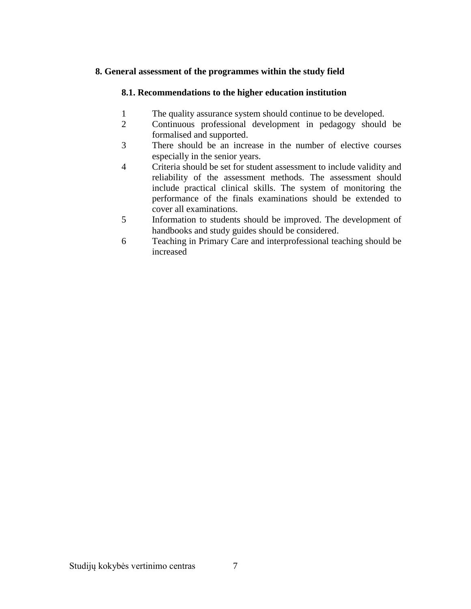### **8. General assessment of the programmes within the study field**

### **8.1. Recommendations to the higher education institution**

- 1 The quality assurance system should continue to be developed.
- 2 Continuous professional development in pedagogy should be formalised and supported.
- 3 There should be an increase in the number of elective courses especially in the senior years.
- 4 Criteria should be set for student assessment to include validity and reliability of the assessment methods. The assessment should include practical clinical skills. The system of monitoring the performance of the finals examinations should be extended to cover all examinations.
- 5 Information to students should be improved. The development of handbooks and study guides should be considered.
- 6 Teaching in Primary Care and interprofessional teaching should be increased